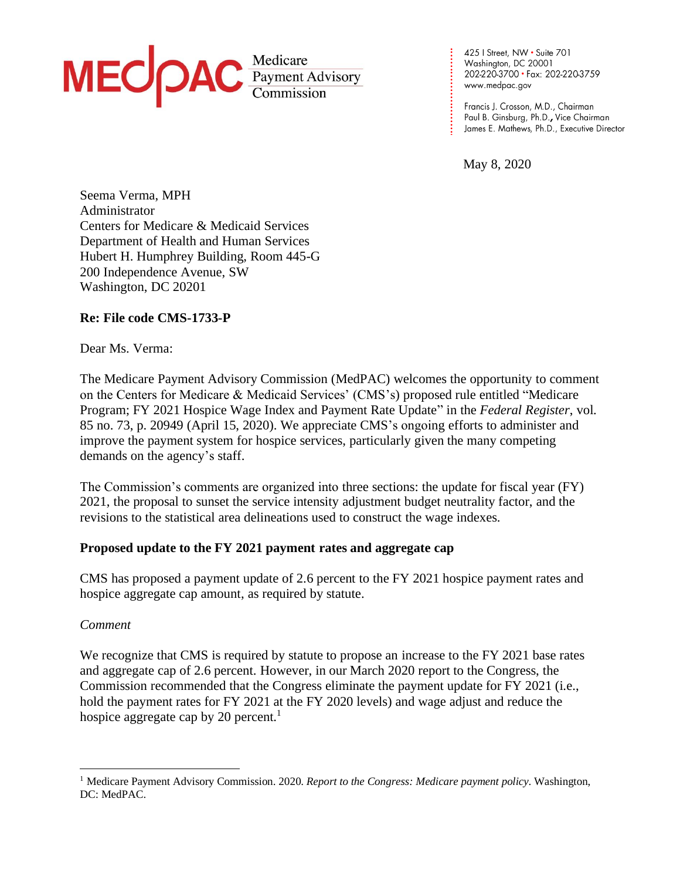

425 | Street, NW · Suite 701 Washington, DC 20001 202-220-3700 · Fax: 202-220-3759

May 8, 2020

**. . . . . . . . . . . . . .**

**. . . . . . . . . . . . .**

Seema Verma, MPH Administrator Centers for Medicare & Medicaid Services Department of Health and Human Services Hubert H. Humphrey Building, Room 445-G 200 Independence Avenue, SW Washington, DC 20201

## **Re: File code CMS-1733-P**

## Dear Ms. Verma:

The Medicare Payment Advisory Commission (MedPAC) welcomes the opportunity to comment on the Centers for Medicare & Medicaid Services' (CMS's) proposed rule entitled "Medicare Program; FY 2021 Hospice Wage Index and Payment Rate Update" in the *Federal Register*, vol. 85 no. 73, p. 20949 (April 15, 2020). We appreciate CMS's ongoing efforts to administer and improve the payment system for hospice services, particularly given the many competing demands on the agency's staff.

The Commission's comments are organized into three sections: the update for fiscal year (FY) 2021, the proposal to sunset the service intensity adjustment budget neutrality factor, and the revisions to the statistical area delineations used to construct the wage indexes.

## **Proposed update to the FY 2021 payment rates and aggregate cap**

CMS has proposed a payment update of 2.6 percent to the FY 2021 hospice payment rates and hospice aggregate cap amount, as required by statute.

## *Comment*

We recognize that CMS is required by statute to propose an increase to the FY 2021 base rates and aggregate cap of 2.6 percent. However, in our March 2020 report to the Congress, the Commission recommended that the Congress eliminate the payment update for FY 2021 (i.e., hold the payment rates for FY 2021 at the FY 2020 levels) and wage adjust and reduce the hospice aggregate cap by 20 percent.<sup>1</sup>

<sup>1</sup> Medicare Payment Advisory Commission. 2020. *Report to the Congress: Medicare payment policy*. Washington, DC: MedPAC.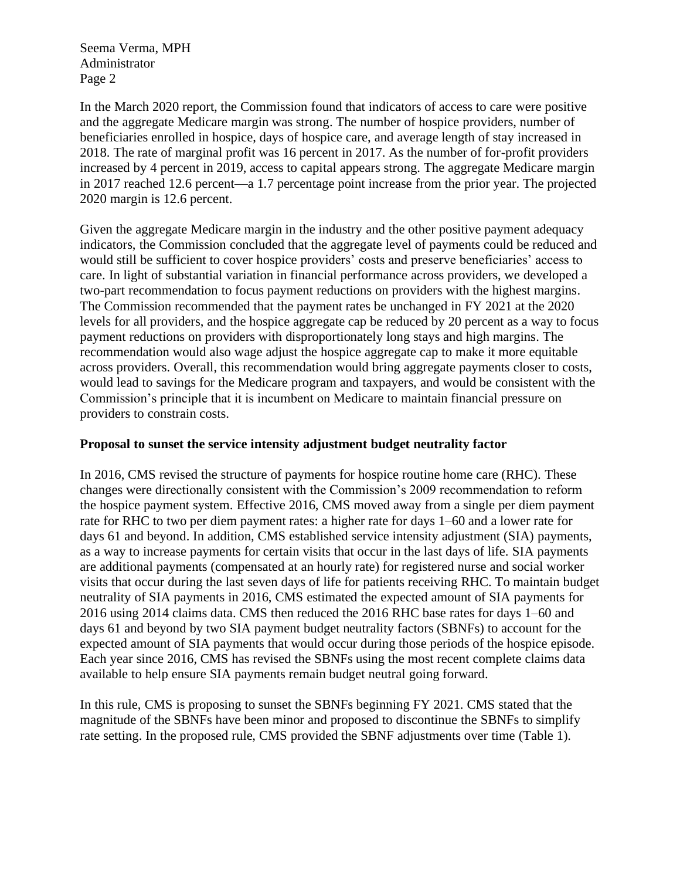In the March 2020 report, the Commission found that indicators of access to care were positive and the aggregate Medicare margin was strong. The number of hospice providers, number of beneficiaries enrolled in hospice, days of hospice care, and average length of stay increased in 2018. The rate of marginal profit was 16 percent in 2017. As the number of for-profit providers increased by 4 percent in 2019, access to capital appears strong. The aggregate Medicare margin in 2017 reached 12.6 percent—a 1.7 percentage point increase from the prior year. The projected 2020 margin is 12.6 percent.

Given the aggregate Medicare margin in the industry and the other positive payment adequacy indicators, the Commission concluded that the aggregate level of payments could be reduced and would still be sufficient to cover hospice providers' costs and preserve beneficiaries' access to care. In light of substantial variation in financial performance across providers, we developed a two-part recommendation to focus payment reductions on providers with the highest margins. The Commission recommended that the payment rates be unchanged in FY 2021 at the 2020 levels for all providers, and the hospice aggregate cap be reduced by 20 percent as a way to focus payment reductions on providers with disproportionately long stays and high margins. The recommendation would also wage adjust the hospice aggregate cap to make it more equitable across providers. Overall, this recommendation would bring aggregate payments closer to costs, would lead to savings for the Medicare program and taxpayers, and would be consistent with the Commission's principle that it is incumbent on Medicare to maintain financial pressure on providers to constrain costs.

## **Proposal to sunset the service intensity adjustment budget neutrality factor**

In 2016, CMS revised the structure of payments for hospice routine home care (RHC). These changes were directionally consistent with the Commission's 2009 recommendation to reform the hospice payment system. Effective 2016, CMS moved away from a single per diem payment rate for RHC to two per diem payment rates: a higher rate for days 1–60 and a lower rate for days 61 and beyond. In addition, CMS established service intensity adjustment (SIA) payments, as a way to increase payments for certain visits that occur in the last days of life. SIA payments are additional payments (compensated at an hourly rate) for registered nurse and social worker visits that occur during the last seven days of life for patients receiving RHC. To maintain budget neutrality of SIA payments in 2016, CMS estimated the expected amount of SIA payments for 2016 using 2014 claims data. CMS then reduced the 2016 RHC base rates for days 1–60 and days 61 and beyond by two SIA payment budget neutrality factors (SBNFs) to account for the expected amount of SIA payments that would occur during those periods of the hospice episode. Each year since 2016, CMS has revised the SBNFs using the most recent complete claims data available to help ensure SIA payments remain budget neutral going forward.

In this rule, CMS is proposing to sunset the SBNFs beginning FY 2021. CMS stated that the magnitude of the SBNFs have been minor and proposed to discontinue the SBNFs to simplify rate setting. In the proposed rule, CMS provided the SBNF adjustments over time (Table 1).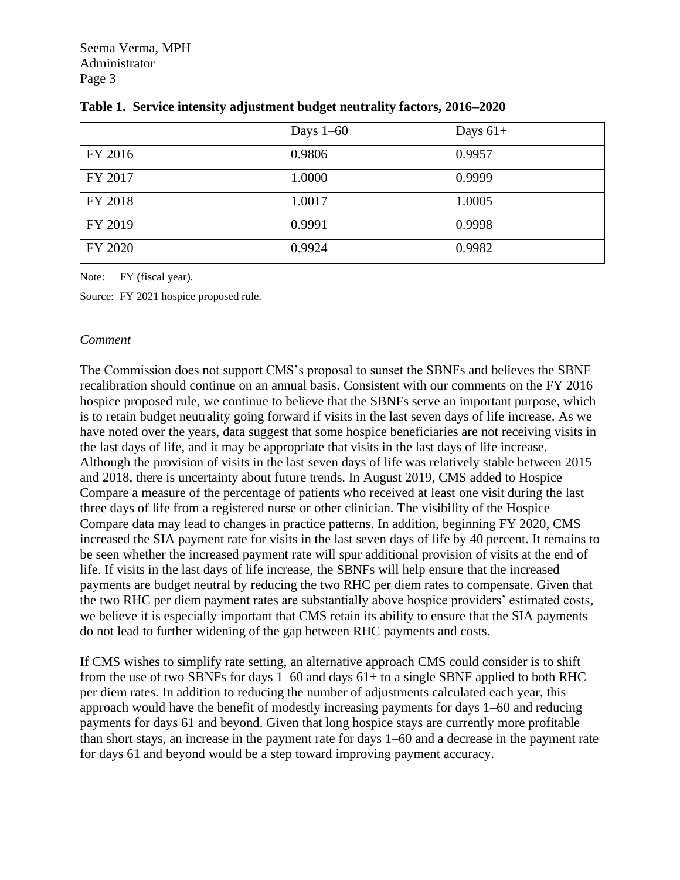|         | Days $1-60$ | Days $61+$ |
|---------|-------------|------------|
| FY 2016 | 0.9806      | 0.9957     |
| FY 2017 | 1.0000      | 0.9999     |
| FY 2018 | 1.0017      | 1.0005     |
| FY 2019 | 0.9991      | 0.9998     |
| FY 2020 | 0.9924      | 0.9982     |

|  | Table 1. Service intensity adjustment budget neutrality factors, 2016-2020 |  |  |
|--|----------------------------------------------------------------------------|--|--|
|  |                                                                            |  |  |

Note: FY (fiscal year).

Source: FY 2021 hospice proposed rule.

## *Comment*

The Commission does not support CMS's proposal to sunset the SBNFs and believes the SBNF recalibration should continue on an annual basis. Consistent with our comments on the FY 2016 hospice proposed rule, we continue to believe that the SBNFs serve an important purpose, which is to retain budget neutrality going forward if visits in the last seven days of life increase. As we have noted over the years, data suggest that some hospice beneficiaries are not receiving visits in the last days of life, and it may be appropriate that visits in the last days of life increase. Although the provision of visits in the last seven days of life was relatively stable between 2015 and 2018, there is uncertainty about future trends. In August 2019, CMS added to Hospice Compare a measure of the percentage of patients who received at least one visit during the last three days of life from a registered nurse or other clinician. The visibility of the Hospice Compare data may lead to changes in practice patterns. In addition, beginning FY 2020, CMS increased the SIA payment rate for visits in the last seven days of life by 40 percent. It remains to be seen whether the increased payment rate will spur additional provision of visits at the end of life. If visits in the last days of life increase, the SBNFs will help ensure that the increased payments are budget neutral by reducing the two RHC per diem rates to compensate. Given that the two RHC per diem payment rates are substantially above hospice providers' estimated costs, we believe it is especially important that CMS retain its ability to ensure that the SIA payments do not lead to further widening of the gap between RHC payments and costs.

If CMS wishes to simplify rate setting, an alternative approach CMS could consider is to shift from the use of two SBNFs for days 1–60 and days 61+ to a single SBNF applied to both RHC per diem rates. In addition to reducing the number of adjustments calculated each year, this approach would have the benefit of modestly increasing payments for days 1–60 and reducing payments for days 61 and beyond. Given that long hospice stays are currently more profitable than short stays, an increase in the payment rate for days 1–60 and a decrease in the payment rate for days 61 and beyond would be a step toward improving payment accuracy.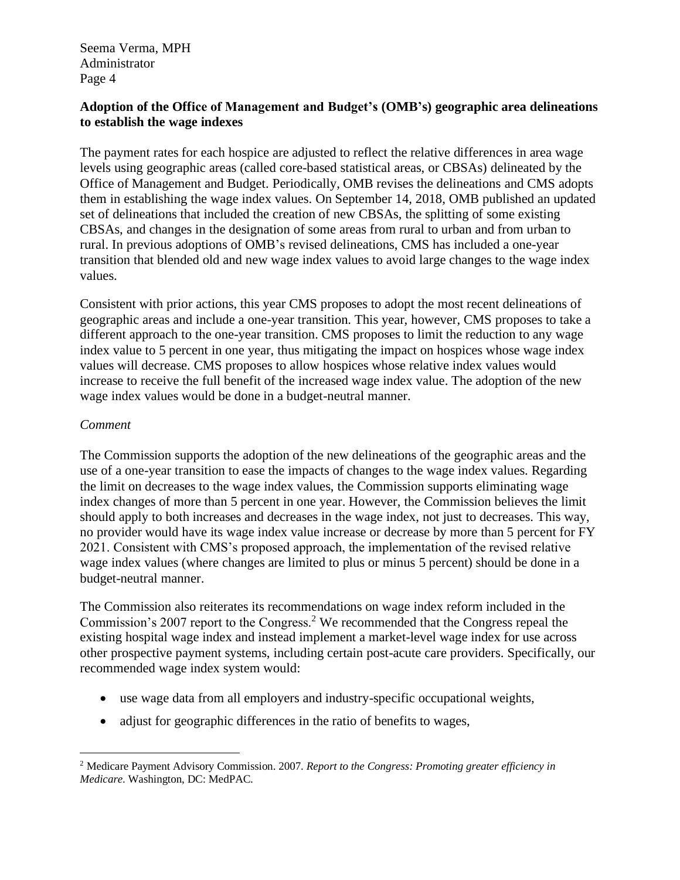# **Adoption of the Office of Management and Budget's (OMB's) geographic area delineations to establish the wage indexes**

The payment rates for each hospice are adjusted to reflect the relative differences in area wage levels using geographic areas (called core-based statistical areas, or CBSAs) delineated by the Office of Management and Budget. Periodically, OMB revises the delineations and CMS adopts them in establishing the wage index values. On September 14, 2018, OMB published an updated set of delineations that included the creation of new CBSAs, the splitting of some existing CBSAs, and changes in the designation of some areas from rural to urban and from urban to rural. In previous adoptions of OMB's revised delineations, CMS has included a one-year transition that blended old and new wage index values to avoid large changes to the wage index values.

Consistent with prior actions, this year CMS proposes to adopt the most recent delineations of geographic areas and include a one-year transition. This year, however, CMS proposes to take a different approach to the one-year transition. CMS proposes to limit the reduction to any wage index value to 5 percent in one year, thus mitigating the impact on hospices whose wage index values will decrease. CMS proposes to allow hospices whose relative index values would increase to receive the full benefit of the increased wage index value. The adoption of the new wage index values would be done in a budget-neutral manner.

## *Comment*

The Commission supports the adoption of the new delineations of the geographic areas and the use of a one-year transition to ease the impacts of changes to the wage index values. Regarding the limit on decreases to the wage index values, the Commission supports eliminating wage index changes of more than 5 percent in one year. However, the Commission believes the limit should apply to both increases and decreases in the wage index, not just to decreases. This way, no provider would have its wage index value increase or decrease by more than 5 percent for FY 2021. Consistent with CMS's proposed approach, the implementation of the revised relative wage index values (where changes are limited to plus or minus 5 percent) should be done in a budget-neutral manner.

The Commission also reiterates its recommendations on wage index reform included in the Commission's 2007 report to the Congress.<sup>2</sup> We recommended that the Congress repeal the existing hospital wage index and instead implement a market-level wage index for use across other prospective payment systems, including certain post-acute care providers. Specifically, our recommended wage index system would:

- use wage data from all employers and industry-specific occupational weights,
- adjust for geographic differences in the ratio of benefits to wages,

<sup>2</sup> Medicare Payment Advisory Commission. 2007. *Report to the Congress: Promoting greater efficiency in Medicare*. Washington, DC: MedPAC.